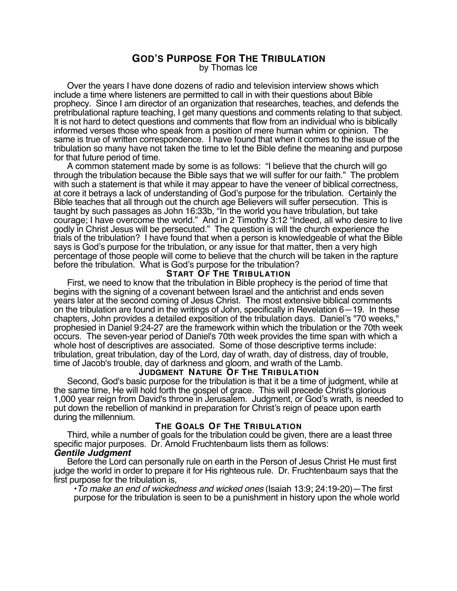# **GOD'S PURPOSE FOR THE TRIBULATION**

by Thomas Ice

Over the years I have done dozens of radio and television interview shows which include a time where listeners are permitted to call in with their questions about Bible prophecy. Since I am director of an organization that researches, teaches, and defends the pretribulational rapture teaching, I get many questions and comments relating to that subject. It is not hard to detect questions and comments that flow from an individual who is biblically informed verses those who speak from a position of mere human whim or opinion. The same is true of written correspondence. I have found that when it comes to the issue of the tribulation so many have not taken the time to let the Bible define the meaning and purpose for that future period of time.

A common statement made by some is as follows: "I believe that the church will go through the tribulation because the Bible says that we will suffer for our faith." The problem with such a statement is that while it may appear to have the veneer of biblical correctness, at core it betrays a lack of understanding of God's purpose for the tribulation. Certainly the Bible teaches that all through out the church age Believers will suffer persecution. This is taught by such passages as John 16:33b, "In the world you have tribulation, but take courage; I have overcome the world." And in 2 Timothy 3:12 "Indeed, all who desire to live godly in Christ Jesus will be persecuted." The question is will the church experience the trials of the tribulation? I have found that when a person is knowledgeable of what the Bible says is God's purpose for the tribulation, or any issue for that matter, then a very high percentage of those people will come to believe that the church will be taken in the rapture before the tribulation. What is God's purpose for the tribulation?

# **START OF THE TRIBULATION**

First, we need to know that the tribulation in Bible prophecy is the period of time that begins with the signing of a covenant between Israel and the antichrist and ends seven years later at the second coming of Jesus Christ. The most extensive biblical comments on the tribulation are found in the writings of John, specifically in Revelation 6—19. In these chapters, John provides a detailed exposition of the tribulation days. Daniel's "70 weeks," prophesied in Daniel 9:24-27 are the framework within which the tribulation or the 70th week occurs. The seven-year period of Daniel's 70th week provides the time span with which a whole host of descriptives are associated. Some of those descriptive terms include: tribulation, great tribulation, day of the Lord, day of wrath, day of distress, day of trouble, time of Jacob's trouble, day of darkness and gloom, and wrath of the Lamb.

## **JUDGMENT NATURE OF THE TRIBULATION**

Second, God's basic purpose for the tribulation is that it be a time of judgment, while at the same time, He will hold forth the gospel of grace. This will precede Christ's glorious 1,000 year reign from David's throne in Jerusalem. Judgment, or God's wrath, is needed to put down the rebellion of mankind in preparation for Christ's reign of peace upon earth during the millennium.

# **THE GOALS OF THE TRIBULATION**

Third, while a number of goals for the tribulation could be given, there are a least three specific major purposes. Dr. Arnold Fruchtenbaum lists them as follows: **Gentile Judgment**

Before the Lord can personally rule on earth in the Person of Jesus Christ He must first judge the world in order to prepare it for His righteous rule. Dr. Fruchtenbaum says that the<br>first purpose for the tribulation is,

 $\cdot$ To make an end of wickedness and wicked ones (Isaiah 13:9; 24:19-20)—The first purpose for the tribulation is seen to be a punishment in history upon the whole world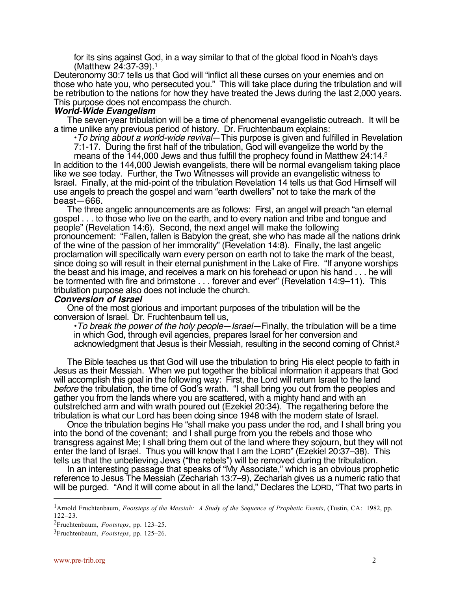for its sins against God, in a way similar to that of the global flood in Noah's days (Matthew 24:37-39).1

Deuteronomy 30:7 tells us that God will "inflict all these curses on your enemies and on those who hate you, who persecuted you." This will take place during the tribulation and will be retribution to the nations for how they have treated the Jews during the last 2,000 years. This purpose does not encompass the church.

#### **World-Wide Evangelism**

The seven-year tribulation will be a time of phenomenal evangelistic outreach. It will be a time unlike any previous period of history. Dr. Fruchtenbaum explains:

• To bring about a world-wide revival—This purpose is given and fulfilled in Revelation

7:1-17. During the first half of the tribulation, God will evangelize the world by the

means of the 144,000 Jews and thus fulfill the prophecy found in Matthew 24:14.2 In addition to the 144,000 Jewish evangelists, there will be normal evangelism taking place like we see today. Further, the Two Witnesses will provide an evangelistic witness to Israel. Finally, at the mid-point of the tribulation Revelation 14 tells us that God Himself will use angels to preach the gospel and warn "earth dwellers" not to take the mark of the beast—666.

The three angelic announcements are as follows: First, an angel will preach "an eternal gospel . . . to those who live on the earth, and to every nation and tribe and tongue and people" (Revelation 14:6). Second, the next angel will make the following pronouncement: "Fallen, fallen is Babylon the great, she who has made all the nations drink of the wine of the passion of her immorality" (Revelation 14:8). Finally, the last angelic proclamation will specifically warn every person on earth not to take the mark of the beast, since doing so will result in their eternal punishment in the Lake of Fire. "If anyone worships the beast and his image, and receives a mark on his forehead or upon his hand . . . he will be tormented with fire and brimstone . . . forever and ever" (Revelation 14:9–11). This tribulation purpose also does not include the church.

#### **Conversion of Israel**

One of the most glorious and important purposes of the tribulation will be the conversion of Israel. Dr. Fruchtenbaum tell us,

 $\cdot$ To break the power of the holy people—Israel—Finally, the tribulation will be a time in which God, through evil agencies, prepares Israel for her conversion and acknowledgment that Jesus is their Messiah, resulting in the second coming of Christ.3

The Bible teaches us that God will use the tribulation to bring His elect people to faith in Jesus as their Messiah. When we put together the biblical information it appears that God will accomplish this goal in the following way: First, the Lord will return Israel to the land before the tribulation, the time of God's wrath. "I shall bring you out from the peoples and gather you from the lands where you are scattered, with a mighty hand and with an outstretched arm and with wrath poured out (Ezekiel 20:34). The regathering before the tribulation is what our Lord has been doing since 1948 with the modern state of Israel.

Once the tribulation begins He "shall make you pass under the rod, and I shall bring you into the bond of the covenant; and I shall purge from you the rebels and those who transgress against Me; I shall bring them out of the land where they sojourn, but they will not enter the land of Israel. Thus you will know that I am the LORD" (Ezekiel 20:37–38). This tells us that the unbelieving Jews ("the rebels") will be removed during the tribulation.

In an interesting passage that speaks of "My Associate," which is an obvious prophetic reference to Jesus The Messiah (Zechariah 13:7–9), Zechariah gives us a numeric ratio that will be purged. "And it will come about in all the land," Declares the LORD, "That two parts in

 $\overline{a}$ 

<sup>1</sup>Arnold Fruchtenbaum, *Footsteps of the Messiah: A Study of the Sequence of Prophetic Events*, (Tustin, CA: 1982, pp. 122–23.

<sup>2</sup>Fruchtenbaum, *Footsteps*, pp. 123–25.

<sup>3</sup>Fruchtenbaum, *Footsteps*, pp. 125–26.